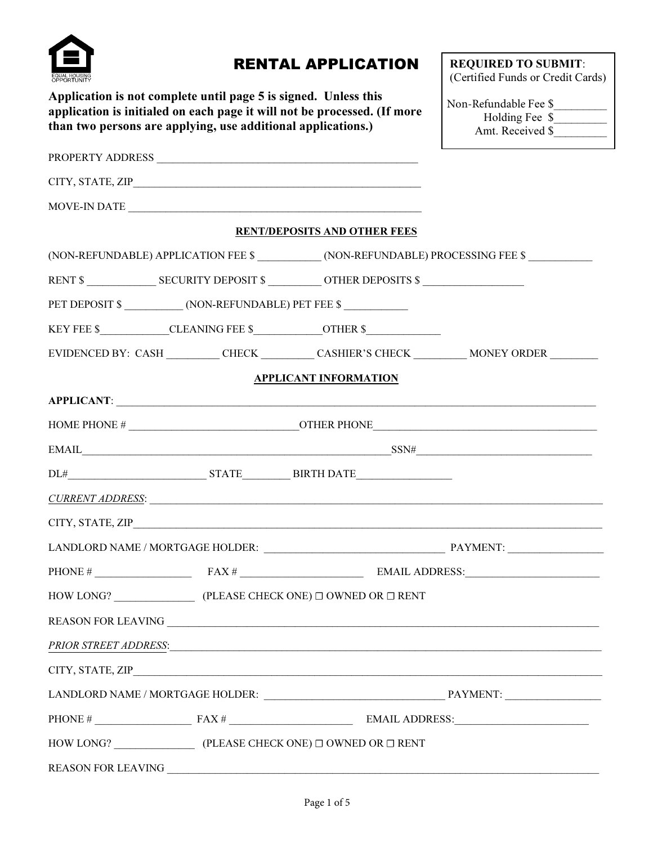

## RENTAL APPLICATION

Application is not complete until page 5 is signed. Unless this application is initialed on each page it will not be processed. (If more than two persons are applying, use additional applications.)

REQUIRED TO SUBMIT: (Certified Funds or Credit Cards)

| Non-Refundable Fee \$ |  |
|-----------------------|--|
| Holding Fee \$        |  |
| Amt. Received \$      |  |

| PROPERTY ADDRESS NAME AND THE SERIES OF STREET AND RESIDENCE ASSESSED FOR A SERIES OF STREET AND THE SERIES OF STREET AND THE STREET ASSESSED FOR A STREET AND THE STREET ASSESSED FOR A STREET AND THE STREET ASSESSED FOR A |                                                                                      |                                                                                                                                                                                                                                                                                                                                                                                                                                                              |
|-------------------------------------------------------------------------------------------------------------------------------------------------------------------------------------------------------------------------------|--------------------------------------------------------------------------------------|--------------------------------------------------------------------------------------------------------------------------------------------------------------------------------------------------------------------------------------------------------------------------------------------------------------------------------------------------------------------------------------------------------------------------------------------------------------|
|                                                                                                                                                                                                                               |                                                                                      |                                                                                                                                                                                                                                                                                                                                                                                                                                                              |
|                                                                                                                                                                                                                               | MOVE-IN DATE                                                                         |                                                                                                                                                                                                                                                                                                                                                                                                                                                              |
|                                                                                                                                                                                                                               | <b>RENT/DEPOSITS AND OTHER FEES</b>                                                  |                                                                                                                                                                                                                                                                                                                                                                                                                                                              |
|                                                                                                                                                                                                                               |                                                                                      | (NON-REFUNDABLE) APPLICATION FEE \$ ____________(NON-REFUNDABLE) PROCESSING FEE \$ ___________                                                                                                                                                                                                                                                                                                                                                               |
|                                                                                                                                                                                                                               |                                                                                      |                                                                                                                                                                                                                                                                                                                                                                                                                                                              |
| PET DEPOSIT \$ _____________ (NON-REFUNDABLE) PET FEE \$ ___________                                                                                                                                                          |                                                                                      |                                                                                                                                                                                                                                                                                                                                                                                                                                                              |
|                                                                                                                                                                                                                               | KEY FEE \$____________CLEANING FEE \$_____________OTHER \$__________________________ |                                                                                                                                                                                                                                                                                                                                                                                                                                                              |
|                                                                                                                                                                                                                               |                                                                                      | EVIDENCED BY: CASH __________CHECK ___________CASHIER'S CHECK ____________MONEY ORDER ___________                                                                                                                                                                                                                                                                                                                                                            |
|                                                                                                                                                                                                                               | <b>APPLICANT INFORMATION</b>                                                         |                                                                                                                                                                                                                                                                                                                                                                                                                                                              |
|                                                                                                                                                                                                                               |                                                                                      |                                                                                                                                                                                                                                                                                                                                                                                                                                                              |
|                                                                                                                                                                                                                               |                                                                                      |                                                                                                                                                                                                                                                                                                                                                                                                                                                              |
|                                                                                                                                                                                                                               |                                                                                      | $\text{EMAIL} \qquad \qquad \text{SSN#} \qquad \qquad \text{SSN#} \qquad \qquad \text{SSN#} \qquad \qquad \text{SSN#} \qquad \qquad \text{SSN#} \qquad \qquad \text{SSN#} \qquad \qquad \text{SSN#} \qquad \qquad \text{SSN#} \qquad \qquad \text{SSN#} \qquad \qquad \text{SSN#} \qquad \qquad \text{SSN#} \qquad \qquad \text{SSN#} \qquad \qquad \text{SSN#} \qquad \qquad \text{SSN#} \qquad \qquad \text{SSN#} \qquad \qquad \text{SSN#} \qquad \qquad$ |
|                                                                                                                                                                                                                               |                                                                                      |                                                                                                                                                                                                                                                                                                                                                                                                                                                              |
|                                                                                                                                                                                                                               |                                                                                      | <u>CURRENT ADDRESS:</u>                                                                                                                                                                                                                                                                                                                                                                                                                                      |
|                                                                                                                                                                                                                               |                                                                                      |                                                                                                                                                                                                                                                                                                                                                                                                                                                              |
|                                                                                                                                                                                                                               |                                                                                      |                                                                                                                                                                                                                                                                                                                                                                                                                                                              |
|                                                                                                                                                                                                                               |                                                                                      |                                                                                                                                                                                                                                                                                                                                                                                                                                                              |
|                                                                                                                                                                                                                               |                                                                                      |                                                                                                                                                                                                                                                                                                                                                                                                                                                              |
|                                                                                                                                                                                                                               | REASON FOR LEAVING                                                                   |                                                                                                                                                                                                                                                                                                                                                                                                                                                              |
|                                                                                                                                                                                                                               |                                                                                      |                                                                                                                                                                                                                                                                                                                                                                                                                                                              |
|                                                                                                                                                                                                                               |                                                                                      |                                                                                                                                                                                                                                                                                                                                                                                                                                                              |
|                                                                                                                                                                                                                               |                                                                                      |                                                                                                                                                                                                                                                                                                                                                                                                                                                              |
|                                                                                                                                                                                                                               |                                                                                      |                                                                                                                                                                                                                                                                                                                                                                                                                                                              |
|                                                                                                                                                                                                                               |                                                                                      |                                                                                                                                                                                                                                                                                                                                                                                                                                                              |
| <b>REASON FOR LEAVING</b>                                                                                                                                                                                                     |                                                                                      |                                                                                                                                                                                                                                                                                                                                                                                                                                                              |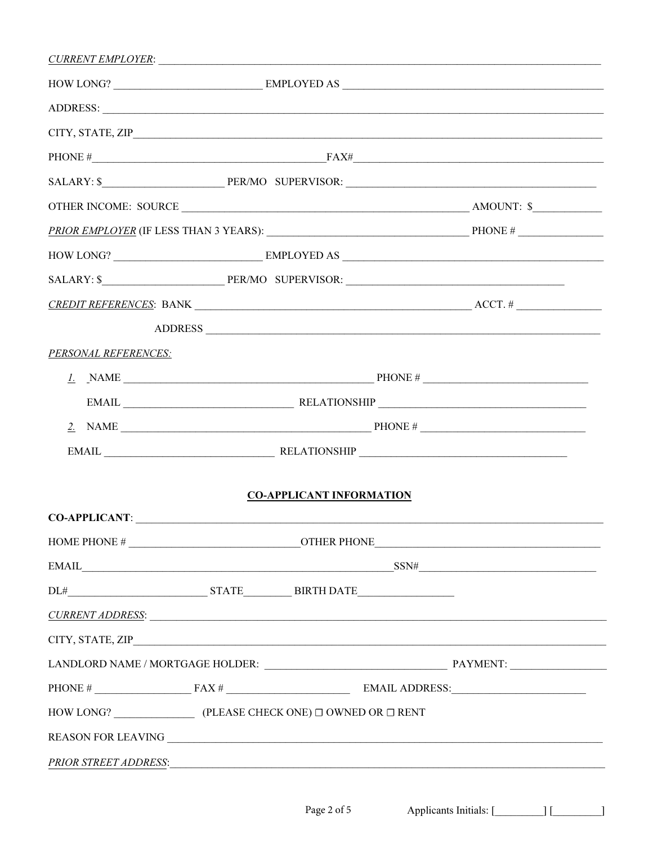|                                        |                                                                   |                                 | SALARY: \$ PER/MO SUPERVISOR: PER/MO SUPERVISOR:                                                                                                                                                                               |
|----------------------------------------|-------------------------------------------------------------------|---------------------------------|--------------------------------------------------------------------------------------------------------------------------------------------------------------------------------------------------------------------------------|
|                                        |                                                                   |                                 |                                                                                                                                                                                                                                |
|                                        |                                                                   |                                 | ADDRESS                                                                                                                                                                                                                        |
| PERSONAL REFERENCES:                   |                                                                   |                                 |                                                                                                                                                                                                                                |
|                                        |                                                                   |                                 |                                                                                                                                                                                                                                |
|                                        |                                                                   |                                 |                                                                                                                                                                                                                                |
|                                        |                                                                   |                                 |                                                                                                                                                                                                                                |
|                                        |                                                                   |                                 |                                                                                                                                                                                                                                |
|                                        |                                                                   |                                 |                                                                                                                                                                                                                                |
| CO-APPLICANT: University CO-APPLICANT: |                                                                   | <b>CO-APPLICANT INFORMATION</b> |                                                                                                                                                                                                                                |
|                                        |                                                                   |                                 |                                                                                                                                                                                                                                |
|                                        |                                                                   |                                 | $EMAIL$ SSN#                                                                                                                                                                                                                   |
|                                        |                                                                   |                                 |                                                                                                                                                                                                                                |
|                                        |                                                                   |                                 | CURRENT ADDRESS: CONSERVERS AND RESIDENCE OF A SUBSERVERSION OF A SUBSERVERSION OF A SUBSERVERSION OF A SUBSERVERSION OF A SUBSERVERSION OF A SUBSERVERSION OF A SUBSERVERSION OF A SUBSERVERSION OF A SUBSERVERSION OF A SUBS |
|                                        |                                                                   |                                 |                                                                                                                                                                                                                                |
|                                        |                                                                   |                                 |                                                                                                                                                                                                                                |
|                                        |                                                                   |                                 |                                                                                                                                                                                                                                |
|                                        |                                                                   |                                 |                                                                                                                                                                                                                                |
|                                        |                                                                   |                                 | REASON FOR LEAVING $\qquad \qquad$                                                                                                                                                                                             |
| PRIOR STREET ADDRESS:                  | <u> 1989 - Johann John Stone, mars eta biztanleria (h. 1989).</u> |                                 |                                                                                                                                                                                                                                |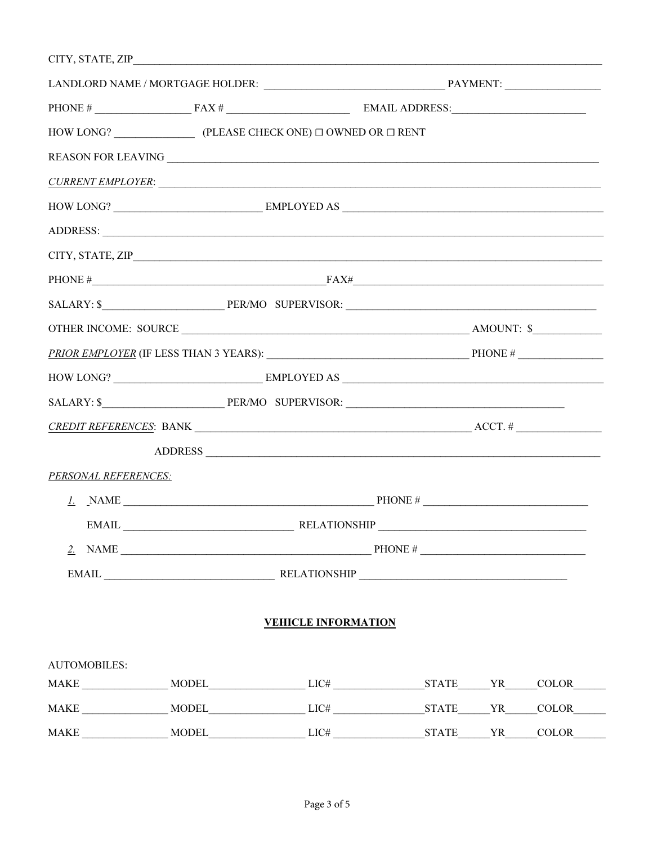|                             | HOW LONG? $\qquad \qquad$ (PLEASE CHECK ONE) $\Box$ OWNED OR $\Box$ RENT |                            |                                                                                                                       |  |              |
|-----------------------------|--------------------------------------------------------------------------|----------------------------|-----------------------------------------------------------------------------------------------------------------------|--|--------------|
|                             |                                                                          |                            |                                                                                                                       |  |              |
|                             | <u>CURRENT EMPLOYER:</u>                                                 |                            |                                                                                                                       |  |              |
|                             |                                                                          |                            |                                                                                                                       |  |              |
|                             |                                                                          |                            |                                                                                                                       |  |              |
|                             |                                                                          |                            |                                                                                                                       |  |              |
|                             |                                                                          |                            |                                                                                                                       |  |              |
|                             |                                                                          |                            |                                                                                                                       |  |              |
|                             |                                                                          |                            |                                                                                                                       |  |              |
|                             |                                                                          |                            |                                                                                                                       |  |              |
|                             |                                                                          |                            |                                                                                                                       |  |              |
|                             |                                                                          |                            |                                                                                                                       |  |              |
|                             |                                                                          |                            |                                                                                                                       |  |              |
|                             | ADDRESS                                                                  |                            |                                                                                                                       |  |              |
| <b>PERSONAL REFERENCES:</b> |                                                                          |                            |                                                                                                                       |  |              |
|                             |                                                                          |                            |                                                                                                                       |  |              |
| EMAIL                       | RELATIONSHIP                                                             |                            | <u> 1989 - Johann Stoff, deutscher Stoff, der Stoff, der Stoff, der Stoff, der Stoff, der Stoff, der Stoff, der S</u> |  |              |
|                             |                                                                          |                            |                                                                                                                       |  |              |
|                             |                                                                          |                            |                                                                                                                       |  |              |
|                             |                                                                          | <b>VEHICLE INFORMATION</b> |                                                                                                                       |  |              |
| <b>AUTOMOBILES:</b>         |                                                                          |                            |                                                                                                                       |  |              |
|                             |                                                                          |                            |                                                                                                                       |  |              |
|                             |                                                                          |                            |                                                                                                                       |  |              |
| <b>MAKE</b>                 | MODEL LIC# STATE YR                                                      |                            |                                                                                                                       |  | <b>COLOR</b> |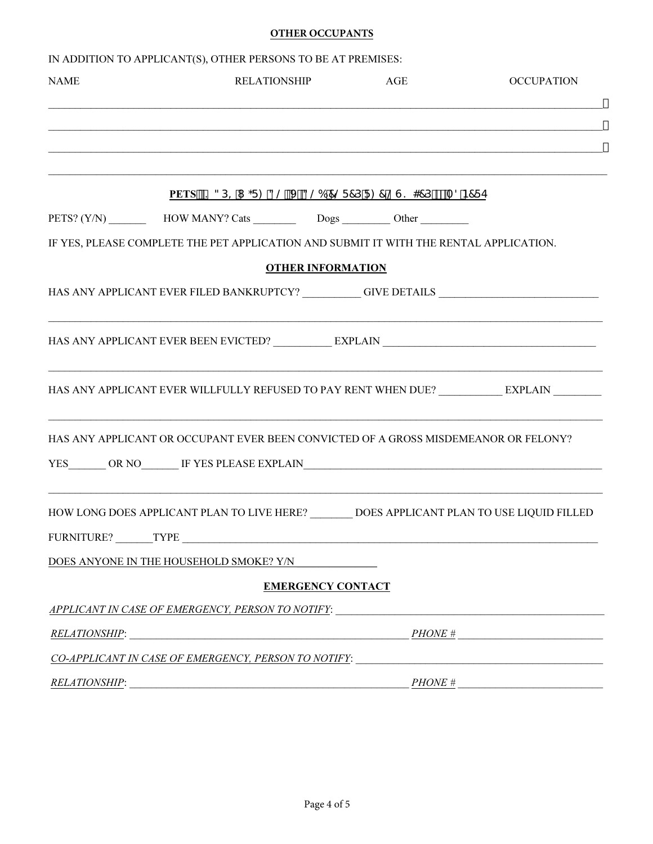## **OTHER OCCUPANTS**

|                 | IN ADDITION TO APPLICANT(S), OTHER PERSONS TO BE AT PREMISES:                                        |                          |                   |
|-----------------|------------------------------------------------------------------------------------------------------|--------------------------|-------------------|
| <b>NAME</b>     | <b>RELATIONSHIP</b>                                                                                  | AGE                      | <b>OCCUPATION</b> |
|                 | ,我们也不能在这里的人,我们也不能在这里的人,我们也不能在这里的人,我们也不能在这里的人,我们也不能在这里的人,我们也不能在这里的人,我们也不能在这里的人,我们也                    |                          |                   |
|                 | ,我们也不能在这里的人,我们也不能在这里的人,我们也不能在这里的人,我们也不能在这里的人,我们也不能在这里的人,我们也不能在这里的人,我们也不能在这里的人,我们也                    |                          |                   |
|                 |                                                                                                      |                          |                   |
|                 | PETS Ž? 3D= I ;F: 3@ J 3@6 7@F7DF: 7@G? 47D <sup>o</sup> fiA8B7FE                                    |                          |                   |
|                 | PETS? (Y/N) __________________HOW MANY? Cats ____________________________Other _____________________ |                          |                   |
|                 | IF YES, PLEASE COMPLETE THE PET APPLICATION AND SUBMIT IT WITH THE RENTAL APPLICATION.               |                          |                   |
|                 |                                                                                                      | <b>OTHER INFORMATION</b> |                   |
|                 | HAS ANY APPLICANT EVER FILED BANKRUPTCY? _________GIVE DETAILS __________________                    |                          |                   |
|                 |                                                                                                      |                          |                   |
|                 |                                                                                                      |                          |                   |
|                 | <u> 1989 - Jan James James Barnett, amerikan bernama (j. 1989)</u>                                   |                          |                   |
|                 |                                                                                                      |                          |                   |
|                 | HAS ANY APPLICANT OR OCCUPANT EVER BEEN CONVICTED OF A GROSS MISDEMEANOR OR FELONY?                  |                          |                   |
|                 |                                                                                                      |                          |                   |
|                 |                                                                                                      |                          |                   |
|                 | HOW LONG DOES APPLICANT PLAN TO LIVE HERE? _________ DOES APPLICANT PLAN TO USE LIQUID FILLED        |                          |                   |
| FURNITURE? TYPE |                                                                                                      |                          |                   |
|                 | DOES ANYONE IN THE HOUSEHOLD SMOKE? Y/N                                                              |                          |                   |
|                 |                                                                                                      | <b>EMERGENCY CONTACT</b> |                   |
|                 | APPLICANT IN CASE OF EMERGENCY, PERSON TO NOTIFY:                                                    |                          |                   |
| RELATIONSHIP:   |                                                                                                      | PHONE #                  |                   |
|                 | CO-APPLICANT IN CASE OF EMERGENCY, PERSON TO NOTIFY:                                                 |                          |                   |
| RELATIONSHIP:   |                                                                                                      | PHONE #                  |                   |